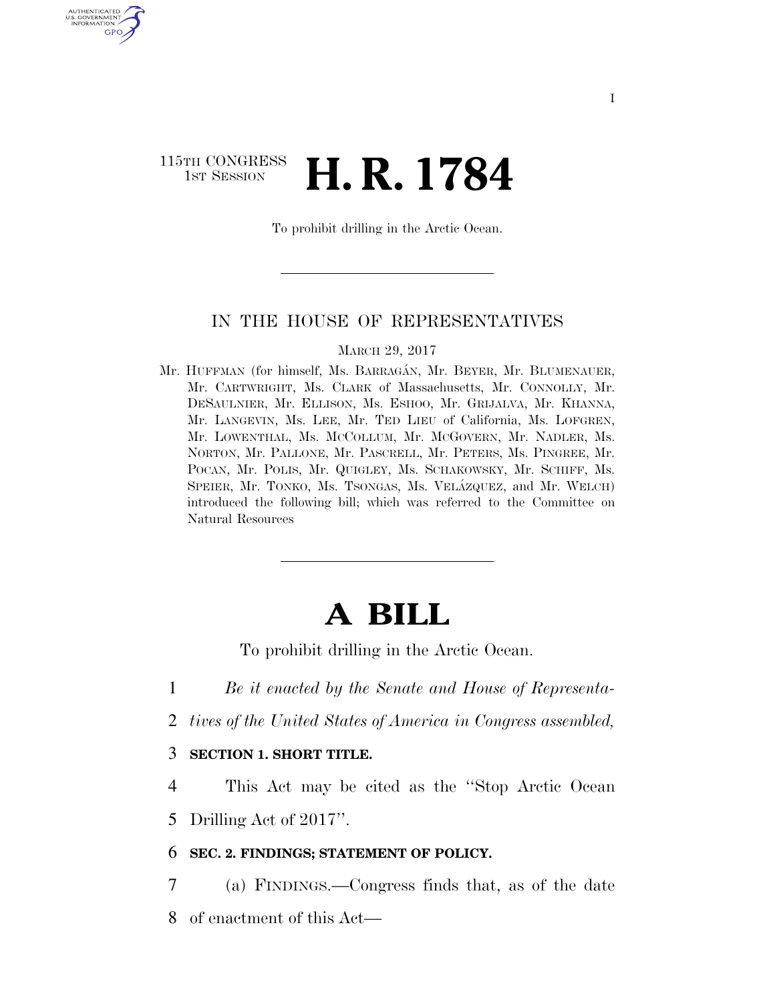## 115TH CONGRESS <sup>TH CONGRESS</sup> **H. R. 1784**

U.S. GOVERNMENT GPO

To prohibit drilling in the Arctic Ocean.

### IN THE HOUSE OF REPRESENTATIVES

MARCH 29, 2017

Mr. HUFFMAN (for himself, Ms. BARRAGÁN, Mr. BEYER, Mr. BLUMENAUER, Mr. CARTWRIGHT, Ms. CLARK of Massachusetts, Mr. CONNOLLY, Mr. DESAULNIER, Mr. ELLISON, Ms. ESHOO, Mr. GRIJALVA, Mr. KHANNA, Mr. LANGEVIN, Ms. LEE, Mr. TED LIEU of California, Ms. LOFGREN, Mr. LOWENTHAL, Ms. MCCOLLUM, Mr. MCGOVERN, Mr. NADLER, Ms. NORTON, Mr. PALLONE, Mr. PASCRELL, Mr. PETERS, Ms. PINGREE, Mr. POCAN, Mr. POLIS, Mr. QUIGLEY, Ms. SCHAKOWSKY, Mr. SCHIFF, Ms. SPEIER, Mr. TONKO, Ms. TSONGAS, Ms. VELÁZQUEZ, and Mr. WELCH) introduced the following bill; which was referred to the Committee on Natural Resources

# **A BILL**

To prohibit drilling in the Arctic Ocean.

1 *Be it enacted by the Senate and House of Representa-*

2 *tives of the United States of America in Congress assembled,* 

### 3 **SECTION 1. SHORT TITLE.**

4 This Act may be cited as the ''Stop Arctic Ocean

5 Drilling Act of 2017''.

#### 6 **SEC. 2. FINDINGS; STATEMENT OF POLICY.**

7 (a) FINDINGS.—Congress finds that, as of the date 8 of enactment of this Act—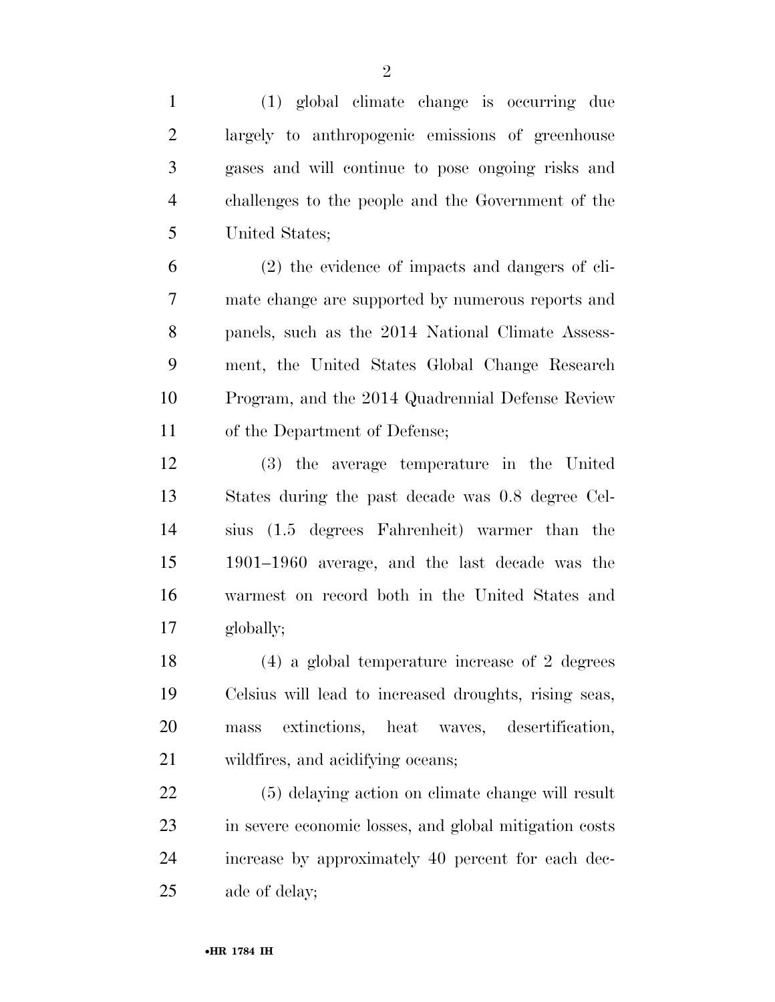(1) global climate change is occurring due largely to anthropogenic emissions of greenhouse gases and will continue to pose ongoing risks and challenges to the people and the Government of the United States; (2) the evidence of impacts and dangers of cli- mate change are supported by numerous reports and panels, such as the 2014 National Climate Assess- ment, the United States Global Change Research Program, and the 2014 Quadrennial Defense Review of the Department of Defense; (3) the average temperature in the United States during the past decade was 0.8 degree Cel- sius (1.5 degrees Fahrenheit) warmer than the 1901–1960 average, and the last decade was the warmest on record both in the United States and globally; (4) a global temperature increase of 2 degrees Celsius will lead to increased droughts, rising seas, mass extinctions, heat waves, desertification, wildfires, and acidifying oceans; (5) delaying action on climate change will result in severe economic losses, and global mitigation costs increase by approximately 40 percent for each dec-ade of delay;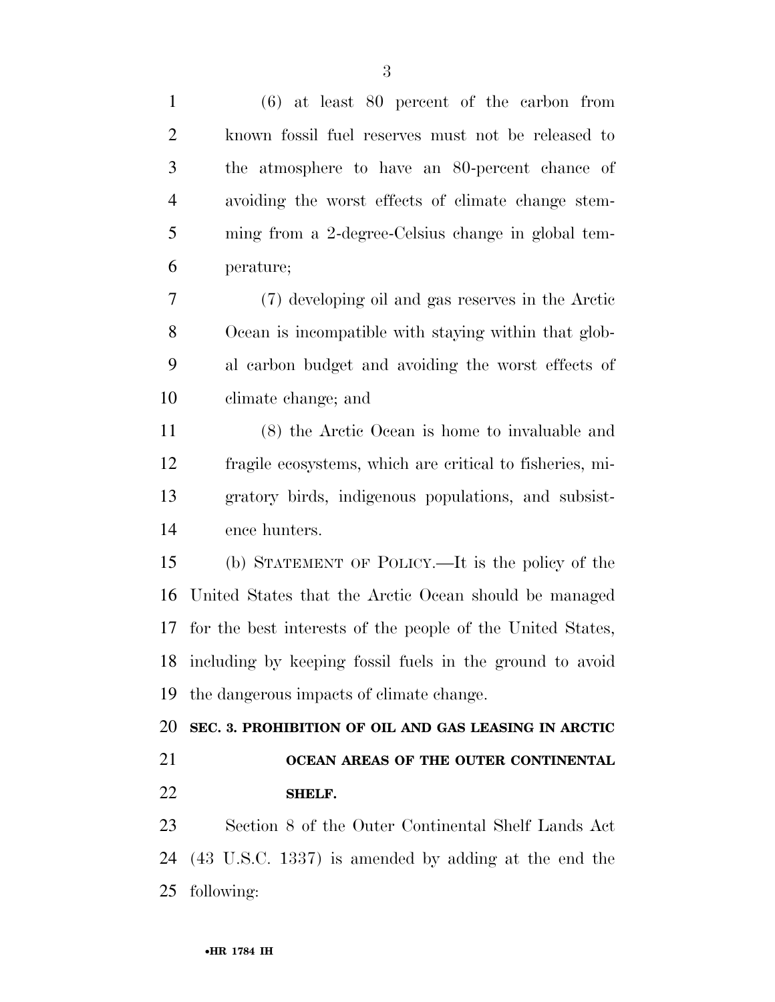(6) at least 80 percent of the carbon from known fossil fuel reserves must not be released to the atmosphere to have an 80-percent chance of avoiding the worst effects of climate change stem- ming from a 2-degree-Celsius change in global tem- perature; (7) developing oil and gas reserves in the Arctic Ocean is incompatible with staying within that glob- al carbon budget and avoiding the worst effects of climate change; and (8) the Arctic Ocean is home to invaluable and fragile ecosystems, which are critical to fisheries, mi- gratory birds, indigenous populations, and subsist- ence hunters. (b) STATEMENT OF POLICY.—It is the policy of the United States that the Arctic Ocean should be managed for the best interests of the people of the United States, including by keeping fossil fuels in the ground to avoid the dangerous impacts of climate change. **SEC. 3. PROHIBITION OF OIL AND GAS LEASING IN ARCTIC OCEAN AREAS OF THE OUTER CONTINENTAL SHELF.**  Section 8 of the Outer Continental Shelf Lands Act (43 U.S.C. 1337) is amended by adding at the end the following: